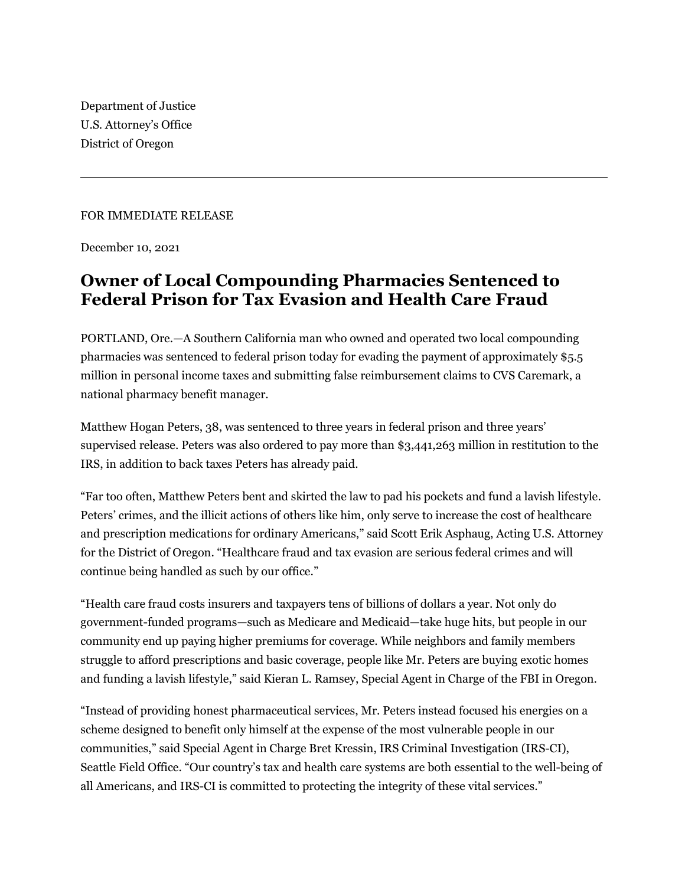Department of Justice U.S. Attorney's Office District of Oregon

## FOR IMMEDIATE RELEASE

December 10, 2021

## **Owner of Local Compounding Pharmacies Sentenced to Federal Prison for Tax Evasion and Health Care Fraud**

PORTLAND, Ore.—A Southern California man who owned and operated two local compounding pharmacies was sentenced to federal prison today for evading the payment of approximately \$5.5 million in personal income taxes and submitting false reimbursement claims to CVS Caremark, a national pharmacy benefit manager.

Matthew Hogan Peters, 38, was sentenced to three years in federal prison and three years' supervised release. Peters was also ordered to pay more than \$3,441,263 million in restitution to the IRS, in addition to back taxes Peters has already paid.

"Far too often, Matthew Peters bent and skirted the law to pad his pockets and fund a lavish lifestyle. Peters' crimes, and the illicit actions of others like him, only serve to increase the cost of healthcare and prescription medications for ordinary Americans," said Scott Erik Asphaug, Acting U.S. Attorney for the District of Oregon. "Healthcare fraud and tax evasion are serious federal crimes and will continue being handled as such by our office."

"Health care fraud costs insurers and taxpayers tens of billions of dollars a year. Not only do government-funded programs—such as Medicare and Medicaid—take huge hits, but people in our community end up paying higher premiums for coverage. While neighbors and family members struggle to afford prescriptions and basic coverage, people like Mr. Peters are buying exotic homes and funding a lavish lifestyle," said Kieran L. Ramsey, Special Agent in Charge of the FBI in Oregon.

"Instead of providing honest pharmaceutical services, Mr. Peters instead focused his energies on a scheme designed to benefit only himself at the expense of the most vulnerable people in our communities," said Special Agent in Charge Bret Kressin, IRS Criminal Investigation (IRS-CI), Seattle Field Office. "Our country's tax and health care systems are both essential to the well-being of all Americans, and IRS-CI is committed to protecting the integrity of these vital services."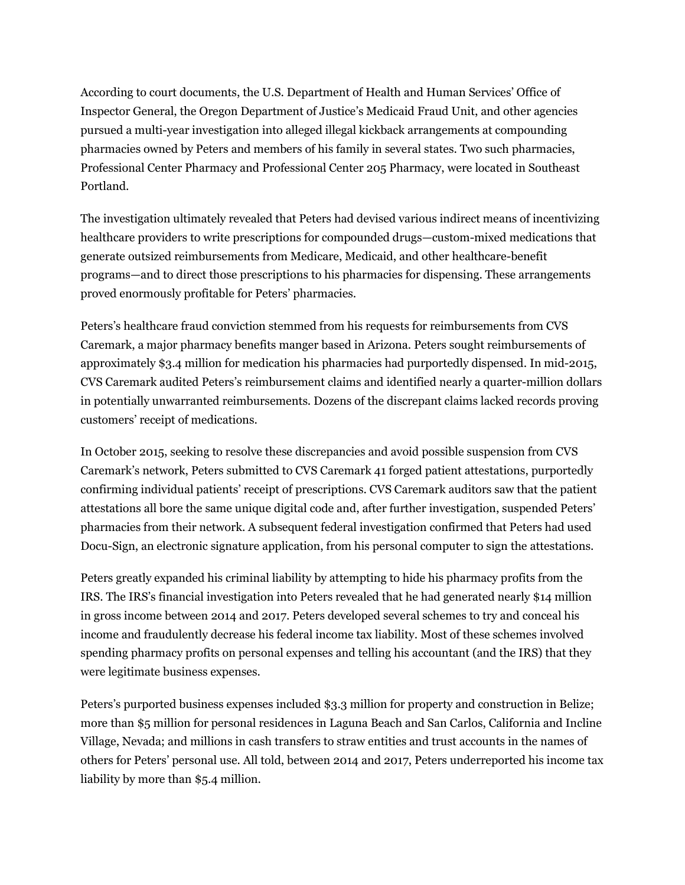According to court documents, the U.S. Department of Health and Human Services' Office of Inspector General, the Oregon Department of Justice's Medicaid Fraud Unit, and other agencies pursued a multi-year investigation into alleged illegal kickback arrangements at compounding pharmacies owned by Peters and members of his family in several states. Two such pharmacies, Professional Center Pharmacy and Professional Center 205 Pharmacy, were located in Southeast Portland.

The investigation ultimately revealed that Peters had devised various indirect means of incentivizing healthcare providers to write prescriptions for compounded drugs—custom-mixed medications that generate outsized reimbursements from Medicare, Medicaid, and other healthcare-benefit programs—and to direct those prescriptions to his pharmacies for dispensing. These arrangements proved enormously profitable for Peters' pharmacies.

Peters's healthcare fraud conviction stemmed from his requests for reimbursements from CVS Caremark, a major pharmacy benefits manger based in Arizona. Peters sought reimbursements of approximately \$3.4 million for medication his pharmacies had purportedly dispensed. In mid-2015, CVS Caremark audited Peters's reimbursement claims and identified nearly a quarter-million dollars in potentially unwarranted reimbursements. Dozens of the discrepant claims lacked records proving customers' receipt of medications.

In October 2015, seeking to resolve these discrepancies and avoid possible suspension from CVS Caremark's network, Peters submitted to CVS Caremark 41 forged patient attestations, purportedly confirming individual patients' receipt of prescriptions. CVS Caremark auditors saw that the patient attestations all bore the same unique digital code and, after further investigation, suspended Peters' pharmacies from their network. A subsequent federal investigation confirmed that Peters had used Docu-Sign, an electronic signature application, from his personal computer to sign the attestations.

Peters greatly expanded his criminal liability by attempting to hide his pharmacy profits from the IRS. The IRS's financial investigation into Peters revealed that he had generated nearly \$14 million in gross income between 2014 and 2017. Peters developed several schemes to try and conceal his income and fraudulently decrease his federal income tax liability. Most of these schemes involved spending pharmacy profits on personal expenses and telling his accountant (and the IRS) that they were legitimate business expenses.

Peters's purported business expenses included \$3.3 million for property and construction in Belize; more than \$5 million for personal residences in Laguna Beach and San Carlos, California and Incline Village, Nevada; and millions in cash transfers to straw entities and trust accounts in the names of others for Peters' personal use. All told, between 2014 and 2017, Peters underreported his income tax liability by more than \$5.4 million.